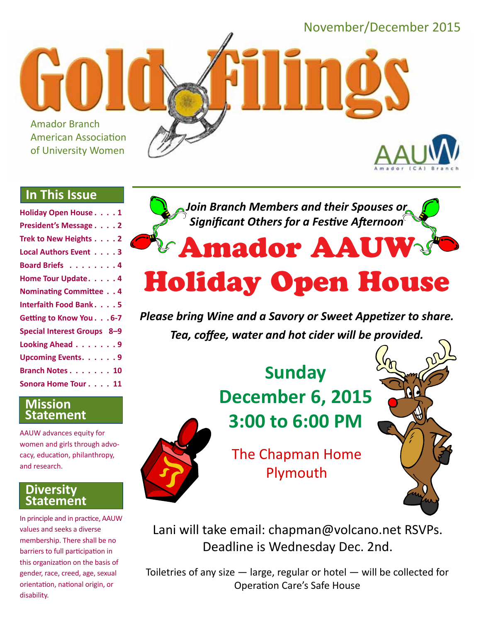

## **In This Issue**

| <b>Holiday Open House1</b>    |
|-------------------------------|
| President's Message 2         |
| Trek to New Heights 2         |
| Local Authors Event 3         |
| Board Briefs 4                |
| Home Tour Update. 4           |
| <b>Nominating Committee 4</b> |
| <b>Interfaith Food Bank5</b>  |
| Getting to Know You. 6-7      |
| Special Interest Groups 8-9   |
| Looking Ahead 9               |
| <b>Upcoming Events9</b>       |
| Branch Notes 10               |
| Sonora Home Tour 11           |
|                               |

## **Mission Statement**

AAUW advances equity for women and girls through advocacy, education, philanthropy, and research.

## **Diversity Statement**

In principle and in practice, AAUW values and seeks a diverse membership. There shall be no barriers to full participation in this organization on the basis of gender, race, creed, age, sexual orientation, national origin, or disability.



# Holiday Open House

*Please bring Wine and a Savory or Sweet Appetizer to share. Tea, coffee, water and hot cider will be provided.*

# **Sunday December 6, 2015 3:00 to 6:00 PM**



The Chapman Home Plymouth



Lani will take email: chapman@volcano.net RSVPs. Deadline is Wednesday Dec. 2nd.

Toiletries of any size — large, regular or hotel — will be collected for Operation Care's Safe House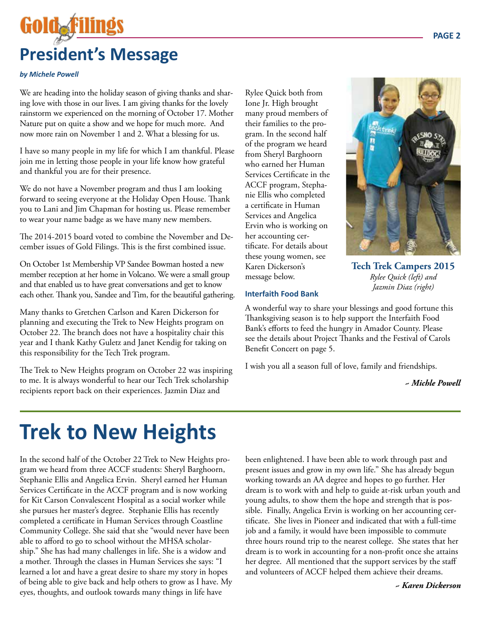# Goldaf **President's Message**

#### *by Michele Powell*

We are heading into the holiday season of giving thanks and sharing love with those in our lives. I am giving thanks for the lovely rainstorm we experienced on the morning of October 17. Mother Nature put on quite a show and we hope for much more. And now more rain on November 1 and 2. What a blessing for us.

I have so many people in my life for which I am thankful. Please join me in letting those people in your life know how grateful and thankful you are for their presence.

We do not have a November program and thus I am looking forward to seeing everyone at the Holiday Open House. Thank you to Lani and Jim Chapman for hosting us. Please remember to wear your name badge as we have many new members.

The 2014-2015 board voted to combine the November and December issues of Gold Filings. This is the first combined issue.

On October 1st Membership VP Sandee Bowman hosted a new member reception at her home in Volcano. We were a small group and that enabled us to have great conversations and get to know each other. Thank you, Sandee and Tim, for the beautiful gathering.

Many thanks to Gretchen Carlson and Karen Dickerson for planning and executing the Trek to New Heights program on October 22. The branch does not have a hospitality chair this year and I thank Kathy Guletz and Janet Kendig for taking on this responsibility for the Tech Trek program.

The Trek to New Heights program on October 22 was inspiring to me. It is always wonderful to hear our Tech Trek scholarship recipients report back on their experiences. Jazmin Diaz and

Rylee Quick both from Ione Jr. High brought many proud members of their families to the program. In the second half of the program we heard from Sheryl Barghoorn who earned her Human Services Certificate in the ACCF program, Stephanie Ellis who completed a certificate in Human Services and Angelica Ervin who is working on her accounting certificate. For details about these young women, see Karen Dickerson's message below.



**Tech Trek Campers 2015** *Rylee Quick (left) and Jazmin Diaz (right)*

#### **Interfaith Food Bank**

A wonderful way to share your blessings and good fortune this Thanksgiving season is to help support the Interfaith Food Bank's efforts to feed the hungry in Amador County. Please see the details about Project Thanks and the Festival of Carols Benefit Concert on page 5.

I wish you all a season full of love, family and friendships.

#### *~ Michle Powell*

## **Trek to New Heights**

In the second half of the October 22 Trek to New Heights program we heard from three ACCF students: Sheryl Barghoorn, Stephanie Ellis and Angelica Ervin. Sheryl earned her Human Services Certificate in the ACCF program and is now working for Kit Carson Convalescent Hospital as a social worker while she pursues her master's degree. Stephanie Ellis has recently completed a certificate in Human Services through Coastline Community College. She said that she "would never have been able to afford to go to school without the MHSA scholarship." She has had many challenges in life. She is a widow and a mother. Through the classes in Human Services she says: "I learned a lot and have a great desire to share my story in hopes of being able to give back and help others to grow as I have. My eyes, thoughts, and outlook towards many things in life have

been enlightened. I have been able to work through past and present issues and grow in my own life." She has already begun working towards an AA degree and hopes to go further. Her dream is to work with and help to guide at-risk urban youth and young adults, to show them the hope and strength that is possible. Finally, Angelica Ervin is working on her accounting certificate. She lives in Pioneer and indicated that with a full-time job and a family, it would have been impossible to commute three hours round trip to the nearest college. She states that her dream is to work in accounting for a non-profit once she attains her degree. All mentioned that the support services by the staff and volunteers of ACCF helped them achieve their dreams.

*~ Karen Dickerson*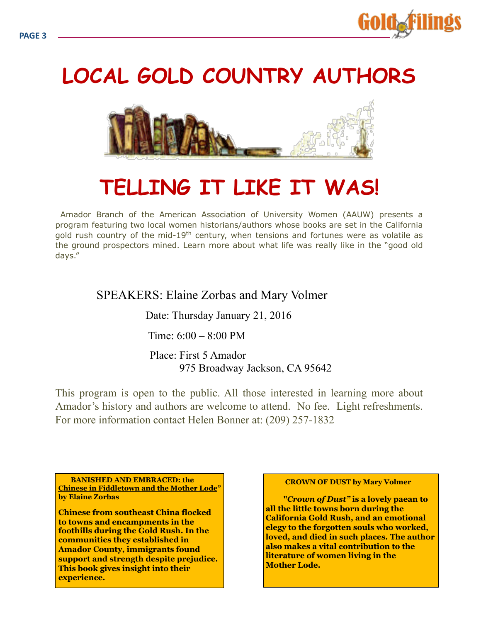

## **LOCAL GOLD COUNTRY AUTHORS**



## **TELLING IT LIKE IT WAS!**

 Amador Branch of the American Association of University Women (AAUW) presents a program featuring two local women historians/authors whose books are set in the California gold rush country of the mid-19<sup>th</sup> century, when tensions and fortunes were as volatile as the ground prospectors mined. Learn more about what life was really like in the "good old days."

## SPEAKERS: Elaine Zorbas and Mary Volmer

Date: Thursday January 21, 2016

Time:  $6:00 - 8:00$  PM

Place: First 5 Amador 975 Broadway Jackson, CA 95642

This program is open to the public. All those interested in learning more about Amador's history and authors are welcome to attend. No fee. Light refreshments. For more information contact Helen Bonner at: (209) 257-1832

 **BANISHED AND EMBRACED: the Chinese in Fiddletown and the Mother Lode" by Elaine Zorbas** 

**Chinese from southeast China flocked to towns and encampments in the foothills during the Gold Rush. In the communities they established in Amador County, immigrants found support and strength despite prejudice. This book gives insight into their experience.** 

#### **CROWN OF DUST by Mary Volmer**

**"***Crown of Dust"* **is a lovely paean to all the little towns born during the California Gold Rush, and an emotional elegy to the forgotten souls who worked, loved, and died in such places. The author also makes a vital contribution to the literature of women living in the Mother Lode.**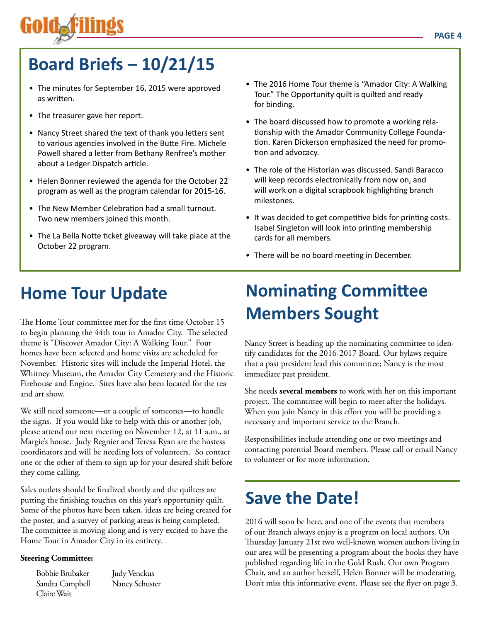

## **Board Briefs – 10/21/15**

- The minutes for September 16, 2015 were approved as written.
- The treasurer gave her report.
- Nancy Street shared the text of thank you letters sent to various agencies involved in the Butte Fire. Michele Powell shared a letter from Bethany Renfree's mother about a Ledger Dispatch article.
- Helen Bonner reviewed the agenda for the October 22 program as well as the program calendar for 2015-16.
- The New Member Celebration had a small turnout. Two new members joined this month.
- The La Bella Notte ticket giveaway will take place at the October 22 program.
- The 2016 Home Tour theme is "Amador City: A Walking Tour." The Opportunity quilt is quilted and ready for binding.
- The board discussed how to promote a working relationship with the Amador Community College Foundation. Karen Dickerson emphasized the need for promotion and advocacy.
- The role of the Historian was discussed. Sandi Baracco will keep records electronically from now on, and will work on a digital scrapbook highlighting branch milestones.
- It was decided to get competitive bids for printing costs. Isabel Singleton will look into printing membership cards for all members.
- There will be no board meeting in December.

## **Home Tour Update**

The Home Tour committee met for the first time October 15 to begin planning the 44th tour in Amador City. The selected theme is "Discover Amador City: A Walking Tour." Four homes have been selected and home visits are scheduled for November. Historic sites will include the Imperial Hotel, the Whitney Museum, the Amador City Cemetery and the Historic Firehouse and Engine. Sites have also been located for the tea and art show.

We still need someone—or a couple of someones—to handle the signs. If you would like to help with this or another job, please attend our next meeting on November 12, at 11 a.m., at Margie's house. Judy Regnier and Teresa Ryan are the hostess coordinators and will be needing lots of volunteers. So contact one or the other of them to sign up for your desired shift before they come calling.

Sales outlets should be finalized shortly and the quilters are putting the finishing touches on this year's opportunity quilt. Some of the photos have been taken, ideas are being created for the poster, and a survey of parking areas is being completed. The committee is moving along and is very excited to have the Home Tour in Amador City in its entirety.

#### **Steering Committee:**

Bobbie Brubaker Sandra Campbell Claire Wait

Judy Venckus Nancy Schuster

## **Nominating Committee Members Sought**

Nancy Street is heading up the nominating committee to identify candidates for the 2016-2017 Board. Our bylaws require that a past president lead this committee; Nancy is the most immediate past president.

She needs **several members** to work with her on this important project. The committee will begin to meet after the holidays. When you join Nancy in this effort you will be providing a necessary and important service to the Branch.

Responsibilities include attending one or two meetings and contacting potential Board members. Please call or email Nancy to volunteer or for more information.

## **Save the Date!**

2016 will soon be here, and one of the events that members of our Branch always enjoy is a program on local authors. On Thursday January 21st two well-known women authors living in our area will be presenting a program about the books they have published regarding life in the Gold Rush. Our own Program Chair, and an author herself, Helen Bonner will be moderating. Don't miss this informative event. Please see the flyer on page 3.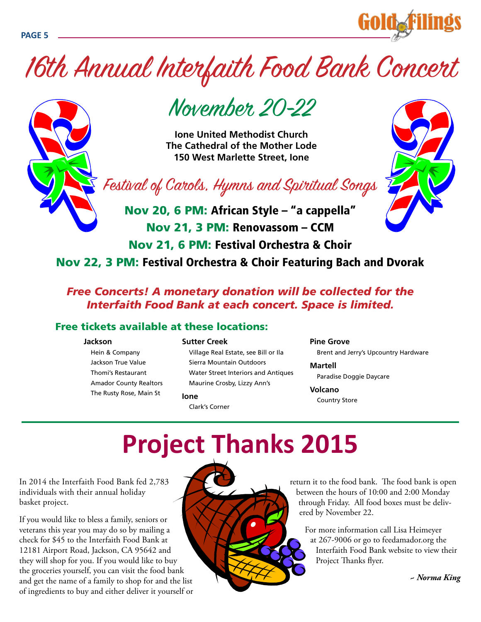

# 16th Annual Interfaith Food Bank Concert



# November 20-22

**Ione United Methodist Church The Cathedral of the Mother Lode 150 West Marlette Street, Ione** 

Festival of Carols, Hymns and Spiritual Songs

Nov 20, 6 PM: African Style – "a cappella" Nov 21, 3 PM: Renovassom – CCM Nov 21, 6 PM: Festival Orchestra & Choir Nov 22, 3 PM: Festival Orchestra & Choir Featuring Bach and Dvorak

## *Free Concerts! A monetary donation will be collected for the Interfaith Food Bank at each concert. Space is limited.*

## Free tickets available at these locations:

#### **Jackson**

#### **Sutter Creek**

Hein & Company Jackson True Value Thomi's Restaurant Amador County Realtors The Rusty Rose, Main St

Village Real Estate, see Bill or Ila Sierra Mountain Outdoors Water Street Interiors and Antiques Maurine Crosby, Lizzy Ann's

#### **Ione**

Clark's Corner

#### **Pine Grove**

Brent and Jerry's Upcountry Hardware

#### **Martell**

Paradise Doggie Daycare

#### **Volcano**

Country Store

# **Project Thanks 2015**

In 2014 the Interfaith Food Bank fed 2,783 individuals with their annual holiday basket project.

If you would like to bless a family, seniors or veterans this year you may do so by mailing a check for \$45 to the Interfaith Food Bank at 12181 Airport Road, Jackson, CA 95642 and they will shop for you. If you would like to buy the groceries yourself, you can visit the food bank and get the name of a family to shop for and the list of ingredients to buy and either deliver it yourself or



return it to the food bank. The food bank is open between the hours of 10:00 and 2:00 Monday through Friday. All food boxes must be delivered by November 22.

For more information call Lisa Heimeyer at 267-9006 or go to feedamador.org the Interfaith Food Bank website to view their Project Thanks flyer.

*~ Norma King*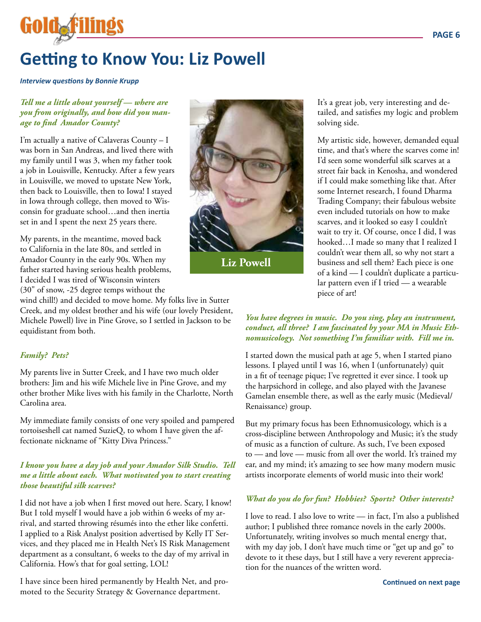## **Getting to Know You: Liz Powell**

*Interview questions by Bonnie Krupp*

#### *Tell me a little about yourself — where are you from originally, and how did you manage to find Amador County?*

I'm actually a native of Calaveras County – I was born in San Andreas, and lived there with my family until I was 3, when my father took a job in Louisville, Kentucky. After a few years in Louisville, we moved to upstate New York, then back to Louisville, then to Iowa! I stayed in Iowa through college, then moved to Wisconsin for graduate school…and then inertia set in and I spent the next 25 years there.

My parents, in the meantime, moved back to California in the late 80s, and settled in Amador County in the early 90s. When my father started having serious health problems, I decided I was tired of Wisconsin winters (30" of snow, -25 degree temps without the

wind chill!) and decided to move home. My folks live in Sutter Creek, and my oldest brother and his wife (our lovely President, Michele Powell) live in Pine Grove, so I settled in Jackson to be equidistant from both.

#### *Family? Pets?*

My parents live in Sutter Creek, and I have two much older brothers: Jim and his wife Michele live in Pine Grove, and my other brother Mike lives with his family in the Charlotte, North Carolina area.

My immediate family consists of one very spoiled and pampered tortoiseshell cat named SuzieQ, to whom I have given the affectionate nickname of "Kitty Diva Princess."

#### *I know you have a day job and your Amador Silk Studio. Tell me a little about each. What motivated you to start creating those beautiful silk scarves?*

I did not have a job when I first moved out here. Scary, I know! But I told myself I would have a job within 6 weeks of my arrival, and started throwing résumés into the ether like confetti. I applied to a Risk Analyst position advertised by Kelly IT Services, and they placed me in Health Net's IS Risk Management department as a consultant, 6 weeks to the day of my arrival in California. How's that for goal setting, LOL!

I have since been hired permanently by Health Net, and promoted to the Security Strategy & Governance department.



**Liz Powell**

#### It's a great job, very interesting and detailed, and satisfies my logic and problem solving side.

My artistic side, however, demanded equal time, and that's where the scarves come in! I'd seen some wonderful silk scarves at a street fair back in Kenosha, and wondered if I could make something like that. After some Internet research, I found Dharma Trading Company; their fabulous website even included tutorials on how to make scarves, and it looked so easy I couldn't wait to try it. Of course, once I did, I was hooked…I made so many that I realized I couldn't wear them all, so why not start a business and sell them? Each piece is one of a kind — I couldn't duplicate a particular pattern even if I tried — a wearable piece of art!

#### *You have degrees in music. Do you sing, play an instrument, conduct, all three? I am fascinated by your MA in Music Ethnomusicology. Not something I'm familiar with. Fill me in.*

I started down the musical path at age 5, when I started piano lessons. I played until I was 16, when I (unfortunately) quit in a fit of teenage pique; I've regretted it ever since. I took up the harpsichord in college, and also played with the Javanese Gamelan ensemble there, as well as the early music (Medieval/ Renaissance) group.

But my primary focus has been Ethnomusicology, which is a cross-discipline between Anthropology and Music; it's the study of music as a function of culture. As such, I've been exposed to — and love — music from all over the world. It's trained my ear, and my mind; it's amazing to see how many modern music artists incorporate elements of world music into their work!

## *What do you do for fun? Hobbies? Sports? Other interests?*

I love to read. I also love to write — in fact, I'm also a published author; I published three romance novels in the early 2000s. Unfortunately, writing involves so much mental energy that, with my day job, I don't have much time or "get up and go" to devote to it these days, but I still have a very reverent appreciation for the nuances of the written word.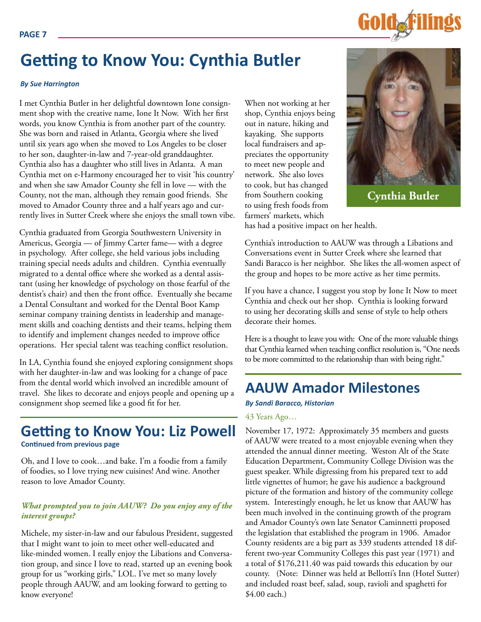

## **Getting to Know You: Cynthia Butler**

#### *By Sue Harrington*

I met Cynthia Butler in her delightful downtown Ione consignment shop with the creative name, Ione It Now. With her first words, you know Cynthia is from another part of the country. She was born and raised in Atlanta, Georgia where she lived until six years ago when she moved to Los Angeles to be closer to her son, daughter-in-law and 7-year-old granddaughter. Cynthia also has a daughter who still lives in Atlanta. A man Cynthia met on e-Harmony encouraged her to visit 'his country' and when she saw Amador County she fell in love — with the County, not the man, although they remain good friends. She moved to Amador County three and a half years ago and currently lives in Sutter Creek where she enjoys the small town vibe.

Cynthia graduated from Georgia Southwestern University in Americus, Georgia — of Jimmy Carter fame— with a degree in psychology. After college, she held various jobs including training special needs adults and children. Cynthia eventually migrated to a dental office where she worked as a dental assistant (using her knowledge of psychology on those fearful of the dentist's chair) and then the front office. Eventually she became a Dental Consultant and worked for the Dental Boot Kamp seminar company training dentists in leadership and management skills and coaching dentists and their teams, helping them to identify and implement changes needed to improve office operations. Her special talent was teaching conflict resolution.

In LA, Cynthia found she enjoyed exploring consignment shops with her daughter-in-law and was looking for a change of pace from the dental world which involved an incredible amount of travel. She likes to decorate and enjoys people and opening up a consignment shop seemed like a good fit for her.

## **Getting to Know You: Liz Powell Continued from previous page**

Oh, and I love to cook…and bake. I'm a foodie from a family of foodies, so I love trying new cuisines! And wine. Another reason to love Amador County.

## *What prompted you to join AAUW? Do you enjoy any of the interest groups?*

Michele, my sister-in-law and our fabulous President, suggested that I might want to join to meet other well-educated and like-minded women. I really enjoy the Libations and Conversation group, and since I love to read, started up an evening book group for us "working girls," LOL. I've met so many lovely people through AAUW, and am looking forward to getting to know everyone!

When not working at her shop, Cynthia enjoys being out in nature, hiking and kayaking. She supports local fundraisers and appreciates the opportunity to meet new people and network. She also loves to cook, but has changed from Southern cooking to using fresh foods from farmers' markets, which



**Cynthia Butler**

has had a positive impact on her health.

Cynthia's introduction to AAUW was through a Libations and Conversations event in Sutter Creek where she learned that Sandi Baracco is her neighbor. She likes the all-women aspect of the group and hopes to be more active as her time permits.

If you have a chance, I suggest you stop by Ione It Now to meet Cynthia and check out her shop. Cynthia is looking forward to using her decorating skills and sense of style to help others decorate their homes.

Here is a thought to leave you with: One of the more valuable things that Cynthia learned when teaching conflict resolution is, "One needs to be more committed to the relationship than with being right."

## **AAUW Amador Milestones**

*By Sandi Baracco, Historian*

#### 43 Years Ago…

November 17, 1972: Approximately 35 members and guests of AAUW were treated to a most enjoyable evening when they attended the annual dinner meeting. Weston Alt of the State Education Department, Community College Division was the guest speaker. While digressing from his prepared text to add little vignettes of humor; he gave his audience a background picture of the formation and history of the community college system. Interestingly enough, he let us know that AAUW has been much involved in the continuing growth of the program and Amador County's own late Senator Caminnetti proposed the legislation that established the program in 1906. Amador County residents are a big part as 339 students attended 18 different two-year Community Colleges this past year (1971) and a total of \$176,211.40 was paid towards this education by our county. (Note: Dinner was held at Bellotti's Inn (Hotel Sutter) and included roast beef, salad, soup, ravioli and spaghetti for \$4.00 each.)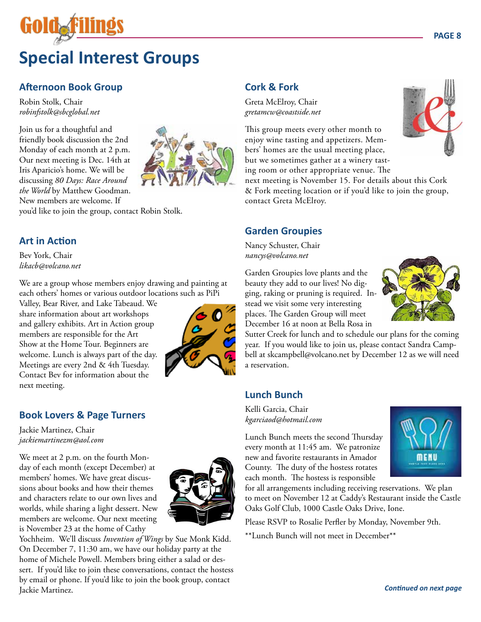# **Special Interest Groups**

## **Afternoon Book Group**

Robin Stolk, Chair *robinfstolk@sbcglobal.net*

Join us for a thoughtful and friendly book discussion the 2nd Monday of each month at 2 p.m. Our next meeting is Dec. 14th at Iris Aparicio's home. We will be discussing *80 Days: Race Around the World* by Matthew Goodman. New members are welcome. If



you'd like to join the group, contact Robin Stolk.

## **Art in Action**

Bev York, Chair *likacb@volcano.net*

We are a group whose members enjoy drawing and painting at each others' homes or various outdoor locations such as PiPi

Valley, Bear River, and Lake Tabeaud. We share information about art workshops and gallery exhibits. Art in Action group members are responsible for the Art Show at the Home Tour. Beginners are welcome. Lunch is always part of the day. Meetings are every 2nd & 4th Tuesday. Contact Bev for information about the next meeting.



## **Book Lovers & Page Turners**

Jackie Martinez, Chair *jackiemartinezm@aol.com*

We meet at 2 p.m. on the fourth Monday of each month (except December) at members' homes. We have great discussions about books and how their themes and characters relate to our own lives and worlds, while sharing a light dessert. New members are welcome. Our next meeting is November 23 at the home of Cathy



Yochheim. We'll discuss *Invention of Wings* by Sue Monk Kidd. On December 7, 11:30 am, we have our holiday party at the home of Michele Powell. Members bring either a salad or dessert. If you'd like to join these conversations, contact the hostess by email or phone. If you'd like to join the book group, contact Jackie Martinez. *Continued on next page*

## **Cork & Fork**

Greta McElroy, Chair *gretamcw@coastside.net*

This group meets every other month to enjoy wine tasting and appetizers. Members' homes are the usual meeting place, but we sometimes gather at a winery tasting room or other appropriate venue. The

next meeting is November 15. For details about this Cork & Fork meeting location or if you'd like to join the group, contact Greta McElroy.

## **Garden Groupies**

Nancy Schuster, Chair *nancys@volcano.net*

Garden Groupies love plants and the beauty they add to our lives! No digging, raking or pruning is required. Instead we visit some very interesting places. The Garden Group will meet December 16 at noon at Bella Rosa in



Sutter Creek for lunch and to schedule our plans for the coming year. If you would like to join us, please contact Sandra Campbell at skcampbell@volcano.net by December 12 as we will need a reservation.

## **Lunch Bunch**

Kelli Garcia, Chair *kgarciaod@hotmail.com* 

Lunch Bunch meets the second Thursday every month at 11:45 am. We patronize new and favorite restaurants in Amador County. The duty of the hostess rotates each month. The hostess is responsible



for all arrangements including receiving reservations. We plan to meet on November 12 at Caddy's Restaurant inside the Castle Oaks Golf Club, 1000 Castle Oaks Drive, Ione.

Please RSVP to Rosalie Perfler by Monday, November 9th.

\*\*Lunch Bunch will not meet in December\*\*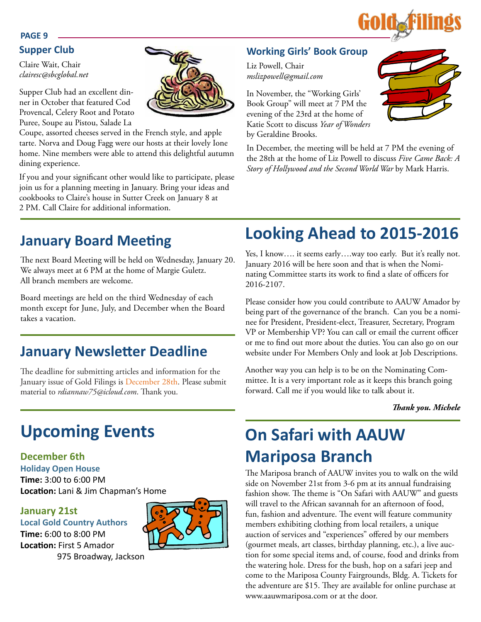

### **PAGE 9**

## **Supper Club**

Claire Wait, Chair *clairesc@sbcglobal.net*

Supper Club had an excellent dinner in October that featured Cod Provencal, Celery Root and Potato Puree, Soupe au Pistou, Salade La

Coupe, assorted cheeses served in the French style, and apple tarte. Norva and Doug Fagg were our hosts at their lovely Ione home. Nine members were able to attend this delightful autumn dining experience.

If you and your significant other would like to participate, please join us for a planning meeting in January. Bring your ideas and cookbooks to Claire's house in Sutter Creek on January 8 at 2 PM. Call Claire for additional information.

## **Working Girls' Book Group**

Liz Powell, Chair *mslizpowell@gmail.com*

In November, the "Working Girls' Book Group" will meet at 7 PM the evening of the 23rd at the home of Katie Scott to discuss *Year of Wonders* by Geraldine Brooks.



In December, the meeting will be held at 7 PM the evening of the 28th at the home of Liz Powell to discuss *Five Came Back: A Story of Hollywood and the Second World War* by Mark Harris.

## **January Board Meeting**

The next Board Meeting will be held on Wednesday, January 20. We always meet at 6 PM at the home of Margie Guletz. All branch members are welcome.

Board meetings are held on the third Wednesday of each month except for June, July, and December when the Board takes a vacation.

## **January Newsletter Deadline**

The deadline for submitting articles and information for the January issue of Gold Filings is December 28th. Please submit material to *rdiannaw75@icloud.com*. Thank you.

## **Upcoming Events**

## **December 6th**

**Holiday Open House Time:** 3:00 to 6:00 PM **Location:** Lani & Jim Chapman's Home

975 Broadway, Jackson

## **January 21st**

**Local Gold Country Authors Time:** 6:00 to 8:00 PM **Location:** First 5 Amador



## **Looking Ahead to 2015-2016**

Yes, I know.... it seems early....way too early. But it's really not. January 2016 will be here soon and that is when the Nominating Committee starts its work to find a slate of officers for 2016-2107.

Please consider how you could contribute to AAUW Amador by being part of the governance of the branch. Can you be a nominee for President, President-elect, Treasurer, Secretary, Program VP or Membership VP? You can call or email the current officer or me to find out more about the duties. You can also go on our website under For Members Only and look at Job Descriptions.

Another way you can help is to be on the Nominating Committee. It is a very important role as it keeps this branch going forward. Call me if you would like to talk about it.

*Thank you. Michele*

## **On Safari with AAUW Mariposa Branch**

The Mariposa branch of AAUW invites you to walk on the wild side on November 21st from 3-6 pm at its annual fundraising fashion show. The theme is "On Safari with AAUW" and guests will travel to the African savannah for an afternoon of food, fun, fashion and adventure. The event will feature community members exhibiting clothing from local retailers, a unique auction of services and "experiences" offered by our members (gourmet meals, art classes, birthday planning, etc.), a live auction for some special items and, of course, food and drinks from the watering hole. Dress for the bush, hop on a safari jeep and come to the Mariposa County Fairgrounds, Bldg. A. Tickets for the adventure are \$15. They are available for online purchase at www.aauwmariposa.com or at the door.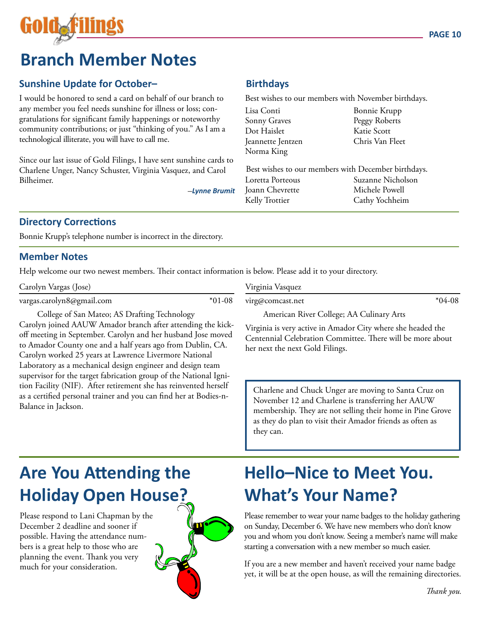

## **Branch Member Notes**

## **Sunshine Update for October–**

I would be honored to send a card on behalf of our branch to any member you feel needs sunshine for illness or loss; congratulations for significant family happenings or noteworthy community contributions; or just "thinking of you." As I am a technological illiterate, you will have to call me.

Since our last issue of Gold Filings, I have sent sunshine cards to Charlene Unger, Nancy Schuster, Virginia Vasquez, and Carol Bilheimer.

–*Lynne Brumit*

## **Birthdays**

Best wishes to our members with November birthdays.

|    | Lisa Conti                                          | Bonnie Krupp      |
|----|-----------------------------------------------------|-------------------|
|    | Sonny Graves                                        | Peggy Roberts     |
|    | Dot Haislet                                         | Katie Scott       |
|    | Jeannette Jentzen                                   | Chris Van Fleet   |
|    | Norma King                                          |                   |
|    |                                                     |                   |
|    | Best wishes to our members with December birthdays. |                   |
|    | Loretta Porteous                                    | Suzanne Nicholson |
| it | Joann Chevrette                                     | Michele Powell    |
|    | Kelly Trottier                                      | Cathy Yochheim    |
|    |                                                     |                   |

## **Directory Corrections**

Bonnie Krupp's telephone number is incorrect in the directory.

## **Member Notes**

Help welcome our two newest members. Their contact information is below. Please add it to your directory.

Carolyn Vargas (Jose)

vargas.carolyn8@gmail.com \*01-08

College of San Mateo; AS Drafting Technology Carolyn joined AAUW Amador branch after attending the kickoff meeting in September. Carolyn and her husband Jose moved to Amador County one and a half years ago from Dublin, CA. Carolyn worked 25 years at Lawrence Livermore National Laboratory as a mechanical design engineer and design team supervisor for the target fabrication group of the National Ignition Facility (NIF). After retirement she has reinvented herself as a certified personal trainer and you can find her at Bodies-n-Balance in Jackson.

Virginia Vasquez

virg@comcast.net \*04-08

American River College; AA Culinary Arts

Virginia is very active in Amador City where she headed the Centennial Celebration Committee. There will be more about her next the next Gold Filings.

Charlene and Chuck Unger are moving to Santa Cruz on November 12 and Charlene is transferring her AAUW membership. They are not selling their home in Pine Grove as they do plan to visit their Amador friends as often as they can.

## **Are You Attending the Holiday Open House?**

Please respond to Lani Chapman by the December 2 deadline and sooner if possible. Having the attendance numbers is a great help to those who are planning the event. Thank you very much for your consideration.



## **Hello–Nice to Meet You. What's Your Name?**

Please remember to wear your name badges to the holiday gathering on Sunday, December 6. We have new members who don't know you and whom you don't know. Seeing a member's name will make starting a conversation with a new member so much easier.

If you are a new member and haven't received your name badge yet, it will be at the open house, as will the remaining directories.